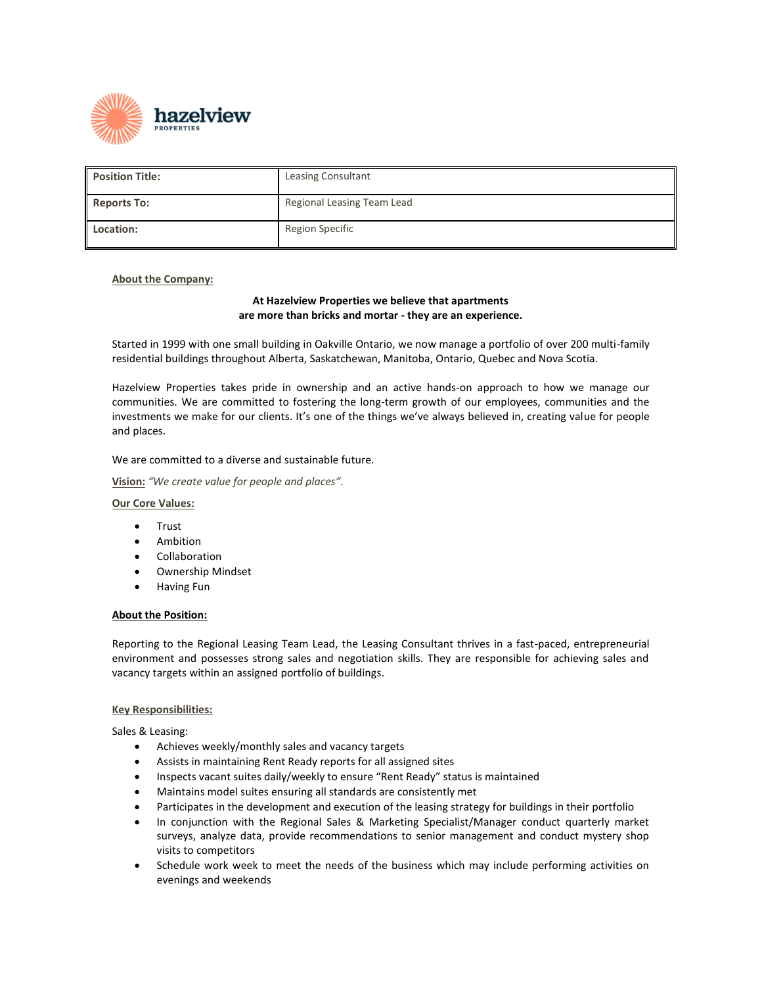

| <b>Position Title:</b> | <b>Leasing Consultant</b>  |
|------------------------|----------------------------|
| <b>Reports To:</b>     | Regional Leasing Team Lead |
| Location:              | Region Specific            |

## **About the Company:**

# **At Hazelview Properties we believe that apartments are more than bricks and mortar - they are an experience.**

Started in 1999 with one small building in Oakville Ontario, we now manage a portfolio of over 200 multi-family residential buildings throughout Alberta, Saskatchewan, Manitoba, Ontario, Quebec and Nova Scotia.

Hazelview Properties takes pride in ownership and an active hands-on approach to how we manage our communities. We are committed to fostering the long-term growth of our employees, communities and the investments we make for our clients. It's one of the things we've always believed in, creating value for people and places.

We are committed to a diverse and sustainable future.

**Vision:** *"We create value for people and places".*

#### **Our Core Values:**

- Trust
- Ambition
- **Collaboration**
- Ownership Mindset
- Having Fun

### **About the Position:**

Reporting to the Regional Leasing Team Lead, the Leasing Consultant thrives in a fast-paced, entrepreneurial environment and possesses strong sales and negotiation skills. They are responsible for achieving sales and vacancy targets within an assigned portfolio of buildings.

#### **Key Responsibilities:**

Sales & Leasing:

- Achieves weekly/monthly sales and vacancy targets
- Assists in maintaining Rent Ready reports for all assigned sites
- Inspects vacant suites daily/weekly to ensure "Rent Ready" status is maintained
- Maintains model suites ensuring all standards are consistently met
- Participates in the development and execution of the leasing strategy for buildings in their portfolio
- In conjunction with the Regional Sales & Marketing Specialist/Manager conduct quarterly market surveys, analyze data, provide recommendations to senior management and conduct mystery shop visits to competitors
- Schedule work week to meet the needs of the business which may include performing activities on evenings and weekends